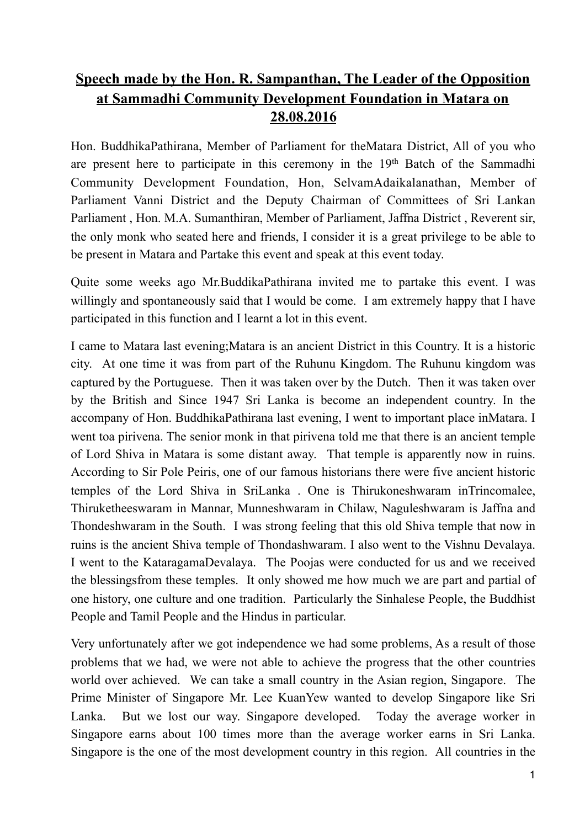## **Speech made by the Hon. R. Sampanthan, The Leader of the Opposition at Sammadhi Community Development Foundation in Matara on 28.08.2016**

Hon. BuddhikaPathirana, Member of Parliament for theMatara District, All of you who are present here to participate in this ceremony in the 19<sup>th</sup> Batch of the Sammadhi Community Development Foundation, Hon, SelvamAdaikalanathan, Member of Parliament Vanni District and the Deputy Chairman of Committees of Sri Lankan Parliament , Hon. M.A. Sumanthiran, Member of Parliament, Jaffna District , Reverent sir, the only monk who seated here and friends, I consider it is a great privilege to be able to be present in Matara and Partake this event and speak at this event today.

Quite some weeks ago Mr.BuddikaPathirana invited me to partake this event. I was willingly and spontaneously said that I would be come. I am extremely happy that I have participated in this function and I learnt a lot in this event.

I came to Matara last evening;Matara is an ancient District in this Country. It is a historic city. At one time it was from part of the Ruhunu Kingdom. The Ruhunu kingdom was captured by the Portuguese. Then it was taken over by the Dutch. Then it was taken over by the British and Since 1947 Sri Lanka is become an independent country. In the accompany of Hon. BuddhikaPathirana last evening, I went to important place inMatara. I went toa pirivena. The senior monk in that pirivena told me that there is an ancient temple of Lord Shiva in Matara is some distant away. That temple is apparently now in ruins. According to Sir Pole Peiris, one of our famous historians there were five ancient historic temples of the Lord Shiva in SriLanka . One is Thirukoneshwaram inTrincomalee, Thiruketheeswaram in Mannar, Munneshwaram in Chilaw, Naguleshwaram is Jaffna and Thondeshwaram in the South. I was strong feeling that this old Shiva temple that now in ruins is the ancient Shiva temple of Thondashwaram. I also went to the Vishnu Devalaya. I went to the KataragamaDevalaya. The Poojas were conducted for us and we received the blessingsfrom these temples. It only showed me how much we are part and partial of one history, one culture and one tradition. Particularly the Sinhalese People, the Buddhist People and Tamil People and the Hindus in particular.

Very unfortunately after we got independence we had some problems, As a result of those problems that we had, we were not able to achieve the progress that the other countries world over achieved. We can take a small country in the Asian region, Singapore. The Prime Minister of Singapore Mr. Lee KuanYew wanted to develop Singapore like Sri Lanka. But we lost our way. Singapore developed. Today the average worker in Singapore earns about 100 times more than the average worker earns in Sri Lanka. Singapore is the one of the most development country in this region. All countries in the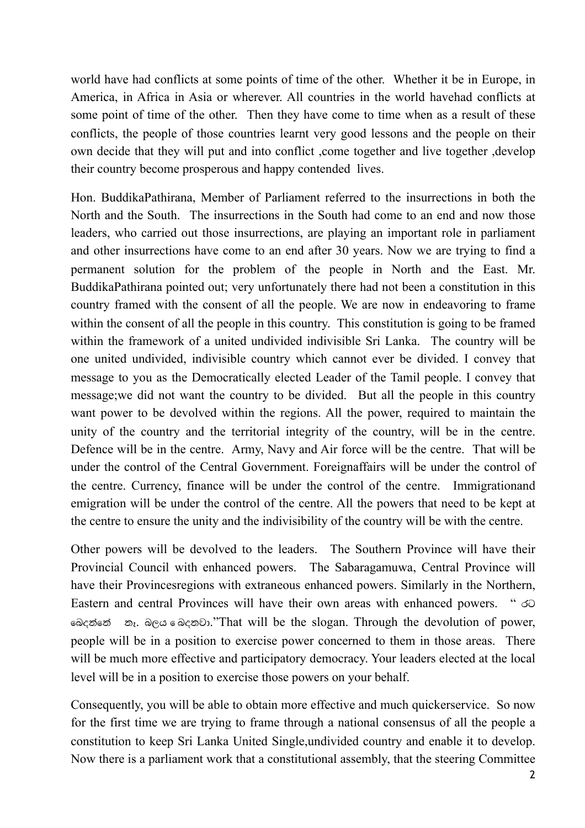world have had conflicts at some points of time of the other. Whether it be in Europe, in America, in Africa in Asia or wherever. All countries in the world havehad conflicts at some point of time of the other. Then they have come to time when as a result of these conflicts, the people of those countries learnt very good lessons and the people on their own decide that they will put and into conflict ,come together and live together ,develop their country become prosperous and happy contended lives.

Hon. BuddikaPathirana, Member of Parliament referred to the insurrections in both the North and the South. The insurrections in the South had come to an end and now those leaders, who carried out those insurrections, are playing an important role in parliament and other insurrections have come to an end after 30 years. Now we are trying to find a permanent solution for the problem of the people in North and the East. Mr. BuddikaPathirana pointed out; very unfortunately there had not been a constitution in this country framed with the consent of all the people. We are now in endeavoring to frame within the consent of all the people in this country. This constitution is going to be framed within the framework of a united undivided indivisible Sri Lanka. The country will be one united undivided, indivisible country which cannot ever be divided. I convey that message to you as the Democratically elected Leader of the Tamil people. I convey that message;we did not want the country to be divided. But all the people in this country want power to be devolved within the regions. All the power, required to maintain the unity of the country and the territorial integrity of the country, will be in the centre. Defence will be in the centre. Army, Navy and Air force will be the centre. That will be under the control of the Central Government. Foreignaffairs will be under the control of the centre. Currency, finance will be under the control of the centre. Immigrationand emigration will be under the control of the centre. All the powers that need to be kept at the centre to ensure the unity and the indivisibility of the country will be with the centre.

Other powers will be devolved to the leaders. The Southern Province will have their Provincial Council with enhanced powers. The Sabaragamuwa, Central Province will have their Provincesregions with extraneous enhanced powers. Similarly in the Northern, Eastern and central Provinces will have their own areas with enhanced powers. " රට ෙබද&ෙ& නෑ. බලය ෙ බදනවා."That will be the slogan. Through the devolution of power, people will be in a position to exercise power concerned to them in those areas. There will be much more effective and participatory democracy. Your leaders elected at the local level will be in a position to exercise those powers on your behalf.

Consequently, you will be able to obtain more effective and much quickerservice. So now for the first time we are trying to frame through a national consensus of all the people a constitution to keep Sri Lanka United Single,undivided country and enable it to develop. Now there is a parliament work that a constitutional assembly, that the steering Committee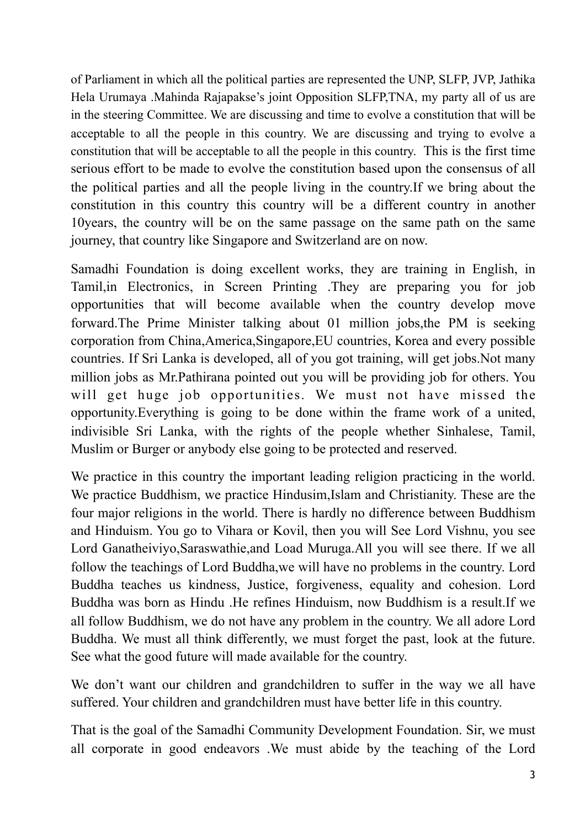of Parliament in which all the political parties are represented the UNP, SLFP, JVP, Jathika Hela Urumaya .Mahinda Rajapakse's joint Opposition SLFP,TNA, my party all of us are in the steering Committee. We are discussing and time to evolve a constitution that will be acceptable to all the people in this country. We are discussing and trying to evolve a constitution that will be acceptable to all the people in this country. This is the first time serious effort to be made to evolve the constitution based upon the consensus of all the political parties and all the people living in the country.If we bring about the constitution in this country this country will be a different country in another 10years, the country will be on the same passage on the same path on the same journey, that country like Singapore and Switzerland are on now.

Samadhi Foundation is doing excellent works, they are training in English, in Tamil,in Electronics, in Screen Printing .They are preparing you for job opportunities that will become available when the country develop move forward.The Prime Minister talking about 01 million jobs,the PM is seeking corporation from China,America,Singapore,EU countries, Korea and every possible countries. If Sri Lanka is developed, all of you got training, will get jobs.Not many million jobs as Mr.Pathirana pointed out you will be providing job for others. You will get huge job opportunities. We must not have missed the opportunity.Everything is going to be done within the frame work of a united, indivisible Sri Lanka, with the rights of the people whether Sinhalese, Tamil, Muslim or Burger or anybody else going to be protected and reserved.

We practice in this country the important leading religion practicing in the world. We practice Buddhism, we practice Hindusim,Islam and Christianity. These are the four major religions in the world. There is hardly no difference between Buddhism and Hinduism. You go to Vihara or Kovil, then you will See Lord Vishnu, you see Lord Ganatheiviyo,Saraswathie,and Load Muruga.All you will see there. If we all follow the teachings of Lord Buddha,we will have no problems in the country. Lord Buddha teaches us kindness, Justice, forgiveness, equality and cohesion. Lord Buddha was born as Hindu .He refines Hinduism, now Buddhism is a result.If we all follow Buddhism, we do not have any problem in the country. We all adore Lord Buddha. We must all think differently, we must forget the past, look at the future. See what the good future will made available for the country.

We don't want our children and grandchildren to suffer in the way we all have suffered. Your children and grandchildren must have better life in this country.

That is the goal of the Samadhi Community Development Foundation. Sir, we must all corporate in good endeavors .We must abide by the teaching of the Lord